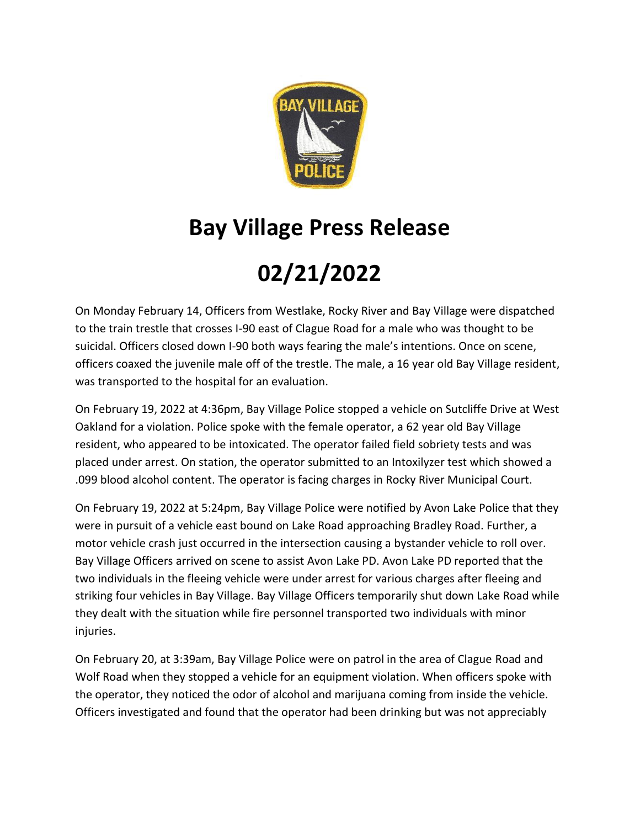

## **Bay Village Press Release**

## **02/21/2022**

On Monday February 14, Officers from Westlake, Rocky River and Bay Village were dispatched to the train trestle that crosses I-90 east of Clague Road for a male who was thought to be suicidal. Officers closed down I-90 both ways fearing the male's intentions. Once on scene, officers coaxed the juvenile male off of the trestle. The male, a 16 year old Bay Village resident, was transported to the hospital for an evaluation.

On February 19, 2022 at 4:36pm, Bay Village Police stopped a vehicle on Sutcliffe Drive at West Oakland for a violation. Police spoke with the female operator, a 62 year old Bay Village resident, who appeared to be intoxicated. The operator failed field sobriety tests and was placed under arrest. On station, the operator submitted to an Intoxilyzer test which showed a .099 blood alcohol content. The operator is facing charges in Rocky River Municipal Court.

On February 19, 2022 at 5:24pm, Bay Village Police were notified by Avon Lake Police that they were in pursuit of a vehicle east bound on Lake Road approaching Bradley Road. Further, a motor vehicle crash just occurred in the intersection causing a bystander vehicle to roll over. Bay Village Officers arrived on scene to assist Avon Lake PD. Avon Lake PD reported that the two individuals in the fleeing vehicle were under arrest for various charges after fleeing and striking four vehicles in Bay Village. Bay Village Officers temporarily shut down Lake Road while they dealt with the situation while fire personnel transported two individuals with minor injuries.

On February 20, at 3:39am, Bay Village Police were on patrol in the area of Clague Road and Wolf Road when they stopped a vehicle for an equipment violation. When officers spoke with the operator, they noticed the odor of alcohol and marijuana coming from inside the vehicle. Officers investigated and found that the operator had been drinking but was not appreciably